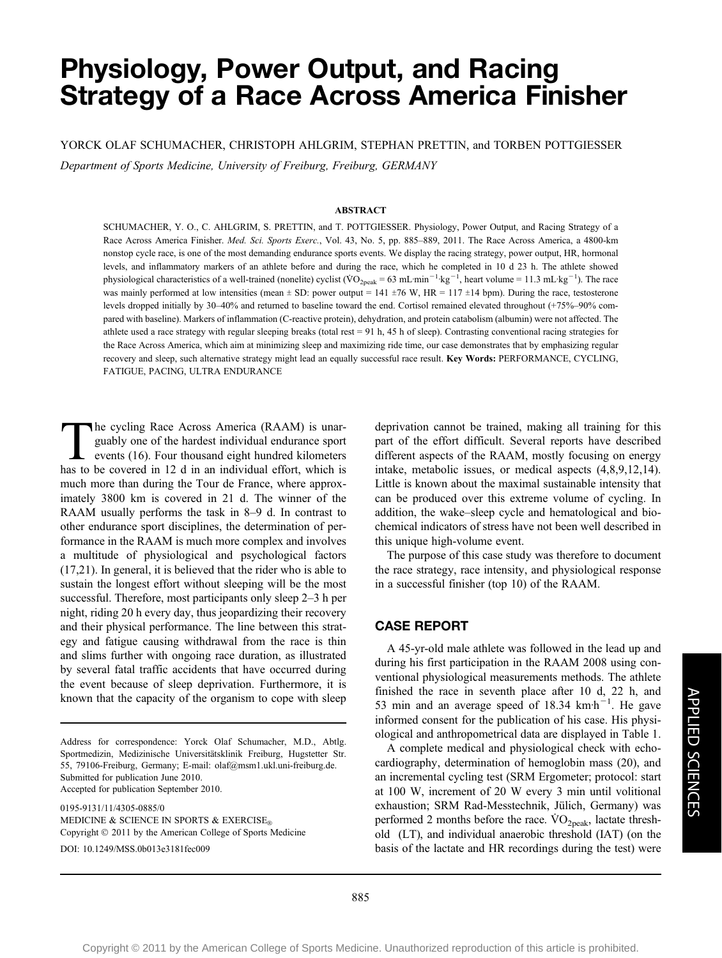# Physiology, Power Output, and Racing Strategy of a Race Across America Finisher

YORCK OLAF SCHUMACHER, CHRISTOPH AHLGRIM, STEPHAN PRETTIN, and TORBEN POTTGIESSER

Department of Sports Medicine, University of Freiburg, Freiburg, GERMANY

#### ABSTRACT

SCHUMACHER, Y. O., C. AHLGRIM, S. PRETTIN, and T. POTTGIESSER. Physiology, Power Output, and Racing Strategy of a Race Across America Finisher. Med. Sci. Sports Exerc., Vol. 43, No. 5, pp. 885–889, 2011. The Race Across America, a 4800-km nonstop cycle race, is one of the most demanding endurance sports events. We display the racing strategy, power output, HR, hormonal levels, and inflammatory markers of an athlete before and during the race, which he completed in 10 d 23 h. The athlete showed physiological characteristics of a well-trained (nonelite) cyclist ( $\overline{VO}_{2peak} = 63 \text{ mL-min}^{-1} \text{ kg}^{-1}$ , heart volume = 11.3 mL·kg<sup>-1</sup>). The race was mainly performed at low intensities (mean  $\pm$  SD: power output = 141  $\pm$ 76 W, HR = 117  $\pm$ 14 bpm). During the race, testosterone levels dropped initially by 30–40% and returned to baseline toward the end. Cortisol remained elevated throughout (+75%–90% compared with baseline). Markers of inflammation (C-reactive protein), dehydration, and protein catabolism (albumin) were not affected. The athlete used a race strategy with regular sleeping breaks (total rest = 91 h, 45 h of sleep). Contrasting conventional racing strategies for the Race Across America, which aim at minimizing sleep and maximizing ride time, our case demonstrates that by emphasizing regular recovery and sleep, such alternative strategy might lead an equally successful race result. Key Words: PERFORMANCE, CYCLING, FATIGUE, PACING, ULTRA ENDURANCE

The cycling Race Across America (RAAM) is unar-<br>guably one of the hardest individual endurance sport<br>events (16). Four thousand eight hundred kilometers<br>has to be covered in 12 d in an individual effort which is guably one of the hardest individual endurance sport events (16). Four thousand eight hundred kilometers has to be covered in 12 d in an individual effort, which is much more than during the Tour de France, where approximately 3800 km is covered in 21 d. The winner of the RAAM usually performs the task in 8–9 d. In contrast to other endurance sport disciplines, the determination of performance in the RAAM is much more complex and involves a multitude of physiological and psychological factors (17,21). In general, it is believed that the rider who is able to sustain the longest effort without sleeping will be the most successful. Therefore, most participants only sleep 2–3 h per night, riding 20 h every day, thus jeopardizing their recovery and their physical performance. The line between this strategy and fatigue causing withdrawal from the race is thin and slims further with ongoing race duration, as illustrated by several fatal traffic accidents that have occurred during the event because of sleep deprivation. Furthermore, it is known that the capacity of the organism to cope with sleep

Address for correspondence: Yorck Olaf Schumacher, M.D., Abtlg. Sportmedizin, Medizinische Universitätsklinik Freiburg, Hugstetter Str. 55, 79106-Freiburg, Germany; E-mail: olaf@msm1.ukl.uni-freiburg.de. Submitted for publication June 2010. Accepted for publication September 2010.

0195-9131/11/4305-0885/0 MEDICINE & SCIENCE IN SPORTS & EXERCISE® Copyright © 2011 by the American College of Sports Medicine DOI: 10.1249/MSS.0b013e3181fec009

deprivation cannot be trained, making all training for this part of the effort difficult. Several reports have described different aspects of the RAAM, mostly focusing on energy intake, metabolic issues, or medical aspects (4,8,9,12,14). Little is known about the maximal sustainable intensity that can be produced over this extreme volume of cycling. In addition, the wake–sleep cycle and hematological and biochemical indicators of stress have not been well described in this unique high-volume event.

The purpose of this case study was therefore to document the race strategy, race intensity, and physiological response in a successful finisher (top 10) of the RAAM.

## CASE REPORT

A 45-yr-old male athlete was followed in the lead up and during his first participation in the RAAM 2008 using conventional physiological measurements methods. The athlete finished the race in seventh place after 10 d, 22 h, and 53 min and an average speed of 18.34  $kmh^{-1}$ . He gave informed consent for the publication of his case. His physiological and anthropometrical data are displayed in Table 1.

A complete medical and physiological check with echocardiography, determination of hemoglobin mass (20), and an incremental cycling test (SRM Ergometer; protocol: start at 100 W, increment of 20 W every 3 min until volitional exhaustion; SRM Rad-Messtechnik, Jülich, Germany) was performed 2 months before the race.  $\rm \dot{V}O_{2peak}$ , lactate threshold (LT), and individual anaerobic threshold (IAT) (on the basis of the lactate and HR recordings during the test) were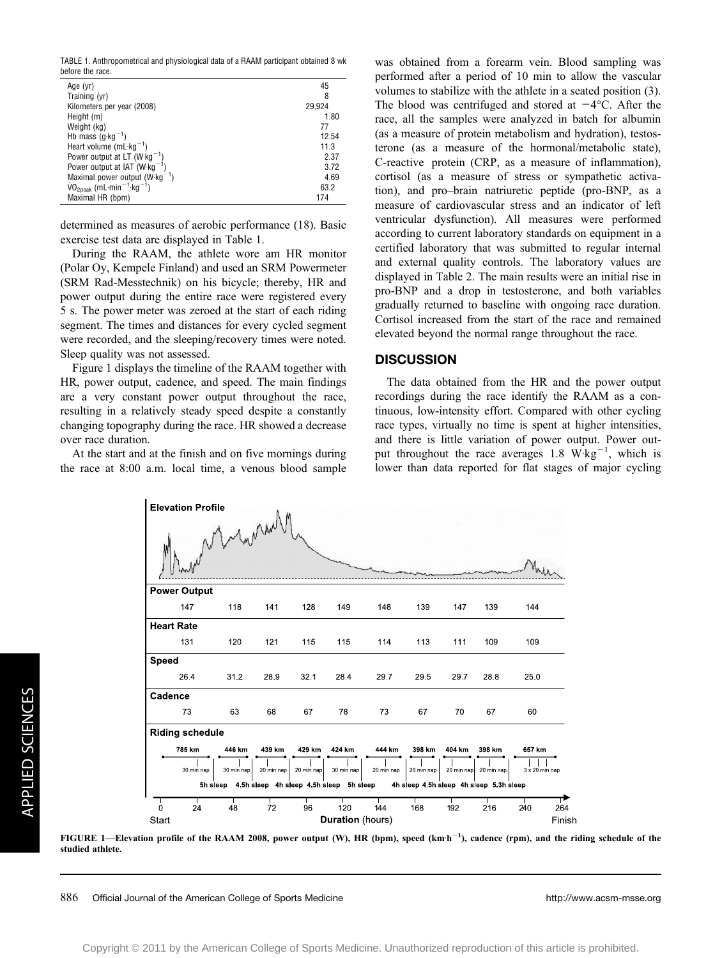TABLE 1. Anthropometrical and physiological data of a RAAM participant obtained 8 wk before the race.

| 45<br>Age (yr)<br>Training (yr)<br>8<br>29,924<br>Kilometers per year (2008)<br>Height (m)<br>Weight (kg)<br>77<br>Hb mass $(g \cdot kg^{-1})$<br>Heart volume $(mL \cdot kg^{-1})$<br>11.3<br>Power output at LT $(W \cdot kg^{-1})$<br>Power output at IAT $(W \cdot kq^{-1})$<br>Maximal power output $(W \cdot kg^{-1})$<br>$VO2peak$ (mL min <sup>-1</sup> kg <sup>-1</sup> )<br>63.2 | . טשאו טוויט וטוס |       |
|--------------------------------------------------------------------------------------------------------------------------------------------------------------------------------------------------------------------------------------------------------------------------------------------------------------------------------------------------------------------------------------------|-------------------|-------|
|                                                                                                                                                                                                                                                                                                                                                                                            |                   |       |
|                                                                                                                                                                                                                                                                                                                                                                                            |                   |       |
|                                                                                                                                                                                                                                                                                                                                                                                            |                   |       |
|                                                                                                                                                                                                                                                                                                                                                                                            |                   | 1.80  |
|                                                                                                                                                                                                                                                                                                                                                                                            |                   |       |
|                                                                                                                                                                                                                                                                                                                                                                                            |                   | 12.54 |
|                                                                                                                                                                                                                                                                                                                                                                                            |                   |       |
|                                                                                                                                                                                                                                                                                                                                                                                            |                   | 2.37  |
|                                                                                                                                                                                                                                                                                                                                                                                            |                   | 3.72  |
|                                                                                                                                                                                                                                                                                                                                                                                            |                   | 4.69  |
|                                                                                                                                                                                                                                                                                                                                                                                            |                   |       |
|                                                                                                                                                                                                                                                                                                                                                                                            | Maximal HR (bpm)  | 174   |

determined as measures of aerobic performance (18). Basic exercise test data are displayed in Table 1.

During the RAAM, the athlete wore am HR monitor (Polar Oy, Kempele Finland) and used an SRM Powermeter (SRM Rad-Messtechnik) on his bicycle; thereby, HR and power output during the entire race were registered every 5 s. The power meter was zeroed at the start of each riding segment. The times and distances for every cycled segment were recorded, and the sleeping/recovery times were noted. Sleep quality was not assessed.

Figure 1 displays the timeline of the RAAM together with HR, power output, cadence, and speed. The main findings are a very constant power output throughout the race, resulting in a relatively steady speed despite a constantly changing topography during the race. HR showed a decrease over race duration.

At the start and at the finish and on five mornings during the race at 8:00 a.m. local time, a venous blood sample was obtained from a forearm vein. Blood sampling was performed after a period of 10 min to allow the vascular volumes to stabilize with the athlete in a seated position (3). The blood was centrifuged and stored at  $-4$ <sup>o</sup>C. After the race, all the samples were analyzed in batch for albumin (as a measure of protein metabolism and hydration), testosterone (as a measure of the hormonal/metabolic state), C-reactive protein (CRP, as a measure of inflammation), cortisol (as a measure of stress or sympathetic activation), and pro–brain natriuretic peptide (pro-BNP, as a measure of cardiovascular stress and an indicator of left ventricular dysfunction). All measures were performed according to current laboratory standards on equipment in a certified laboratory that was submitted to regular internal and external quality controls. The laboratory values are displayed in Table 2. The main results were an initial rise in pro-BNP and a drop in testosterone, and both variables gradually returned to baseline with ongoing race duration. Cortisol increased from the start of the race and remained elevated beyond the normal range throughout the race.

# **DISCUSSION**

The data obtained from the HR and the power output recordings during the race identify the RAAM as a continuous, low-intensity effort. Compared with other cycling race types, virtually no time is spent at higher intensities, and there is little variation of power output. Power output throughout the race averages 1.8  $W \text{ kg}^{-1}$ , which is lower than data reported for flat stages of major cycling



FIGURE 1—Elevation profile of the RAAM 2008, power output (W), HR (bpm), speed (km·h $^{-1}$ ), cadence (rpm), and the riding schedule of the studied athlete.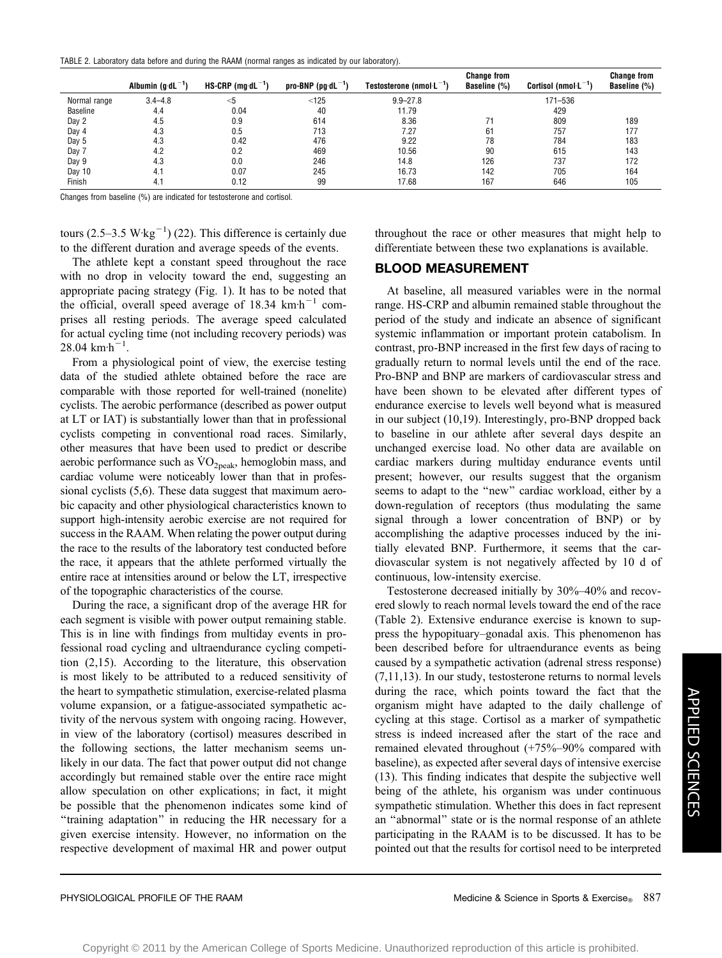|              | Albumin (g·dL <sup>-1</sup> ) | HS-CRP (mg·dL $^{-1}$ ) | pro-BNP (pg $\cdot$ dL $^{-1}$ ) | Testosterone (nmol $-L^{-1}$ ) | <b>Change from</b><br>Baseline (%) | Cortisol (nmol $L^{-1}$ ) | <b>Change from</b><br>Baseline (%) |
|--------------|-------------------------------|-------------------------|----------------------------------|--------------------------------|------------------------------------|---------------------------|------------------------------------|
| Normal range | $3.4 - 4.8$                   | <5                      | < 125                            | $9.9 - 27.8$                   |                                    | 171-536                   |                                    |
| Baseline     | 4.4                           | 0.04                    | 40                               | 11.79                          |                                    | 429                       |                                    |
| Day 2        | 4.5                           | 0.9                     | 614                              | 8.36                           |                                    | 809                       | 189                                |
| Day 4        | 4.3                           | 0.5                     | 713                              | 7.27                           | 61                                 | 757                       | 177                                |
| Day 5        | 4.3                           | 0.42                    | 476                              | 9.22                           | 78                                 | 784                       | 183                                |
| Day 7        | 4.2                           | 0.2                     | 469                              | 10.56                          | 90                                 | 615                       | 143                                |
| Day 9        | 4.3                           | 0.0                     | 246                              | 14.8                           | 126                                | 737                       | 172                                |
| Day 10       | 4.1                           | 0.07                    | 245                              | 16.73                          | 142                                | 705                       | 164                                |
| Finish       | 4.1                           | 0.12                    | 99                               | 17.68                          | 167                                | 646                       | 105                                |

Changes from baseline (%) are indicated for testosterone and cortisol.

tours  $(2.5-3.5 \text{ W} \text{ kg}^{-1})$  (22). This difference is certainly due to the different duration and average speeds of the events.

The athlete kept a constant speed throughout the race with no drop in velocity toward the end, suggesting an appropriate pacing strategy (Fig. 1). It has to be noted that the official, overall speed average of  $18.34 \text{ km}\cdot\text{h}^{-1}$  comprises all resting periods. The average speed calculated for actual cycling time (not including recovery periods) was  $28.04 \text{ km} \cdot \text{h}^{-1}$ .

From a physiological point of view, the exercise testing data of the studied athlete obtained before the race are comparable with those reported for well-trained (nonelite) cyclists. The aerobic performance (described as power output at LT or IAT) is substantially lower than that in professional cyclists competing in conventional road races. Similarly, other measures that have been used to predict or describe aerobic performance such as  $\rm\dot{VO}_{2peak}$ , hemoglobin mass, and cardiac volume were noticeably lower than that in professional cyclists (5,6). These data suggest that maximum aerobic capacity and other physiological characteristics known to support high-intensity aerobic exercise are not required for success in the RAAM. When relating the power output during the race to the results of the laboratory test conducted before the race, it appears that the athlete performed virtually the entire race at intensities around or below the LT, irrespective of the topographic characteristics of the course.

During the race, a significant drop of the average HR for each segment is visible with power output remaining stable. This is in line with findings from multiday events in professional road cycling and ultraendurance cycling competition (2,15). According to the literature, this observation is most likely to be attributed to a reduced sensitivity of the heart to sympathetic stimulation, exercise-related plasma volume expansion, or a fatigue-associated sympathetic activity of the nervous system with ongoing racing. However, in view of the laboratory (cortisol) measures described in the following sections, the latter mechanism seems unlikely in our data. The fact that power output did not change accordingly but remained stable over the entire race might allow speculation on other explications; in fact, it might be possible that the phenomenon indicates some kind of ''training adaptation'' in reducing the HR necessary for a given exercise intensity. However, no information on the respective development of maximal HR and power output

throughout the race or other measures that might help to differentiate between these two explanations is available.

## BLOOD MEASUREMENT

At baseline, all measured variables were in the normal range. HS-CRP and albumin remained stable throughout the period of the study and indicate an absence of significant systemic inflammation or important protein catabolism. In contrast, pro-BNP increased in the first few days of racing to gradually return to normal levels until the end of the race. Pro-BNP and BNP are markers of cardiovascular stress and have been shown to be elevated after different types of endurance exercise to levels well beyond what is measured in our subject (10,19). Interestingly, pro-BNP dropped back to baseline in our athlete after several days despite an unchanged exercise load. No other data are available on cardiac markers during multiday endurance events until present; however, our results suggest that the organism seems to adapt to the "new" cardiac workload, either by a down-regulation of receptors (thus modulating the same signal through a lower concentration of BNP) or by accomplishing the adaptive processes induced by the initially elevated BNP. Furthermore, it seems that the cardiovascular system is not negatively affected by 10 d of continuous, low-intensity exercise.

Testosterone decreased initially by 30%–40% and recovered slowly to reach normal levels toward the end of the race (Table 2). Extensive endurance exercise is known to suppress the hypopituary–gonadal axis. This phenomenon has been described before for ultraendurance events as being caused by a sympathetic activation (adrenal stress response) (7,11,13). In our study, testosterone returns to normal levels during the race, which points toward the fact that the organism might have adapted to the daily challenge of cycling at this stage. Cortisol as a marker of sympathetic stress is indeed increased after the start of the race and remained elevated throughout (+75%–90% compared with baseline), as expected after several days of intensive exercise (13). This finding indicates that despite the subjective well being of the athlete, his organism was under continuous sympathetic stimulation. Whether this does in fact represent an ''abnormal'' state or is the normal response of an athlete participating in the RAAM is to be discussed. It has to be pointed out that the results for cortisol need to be interpreted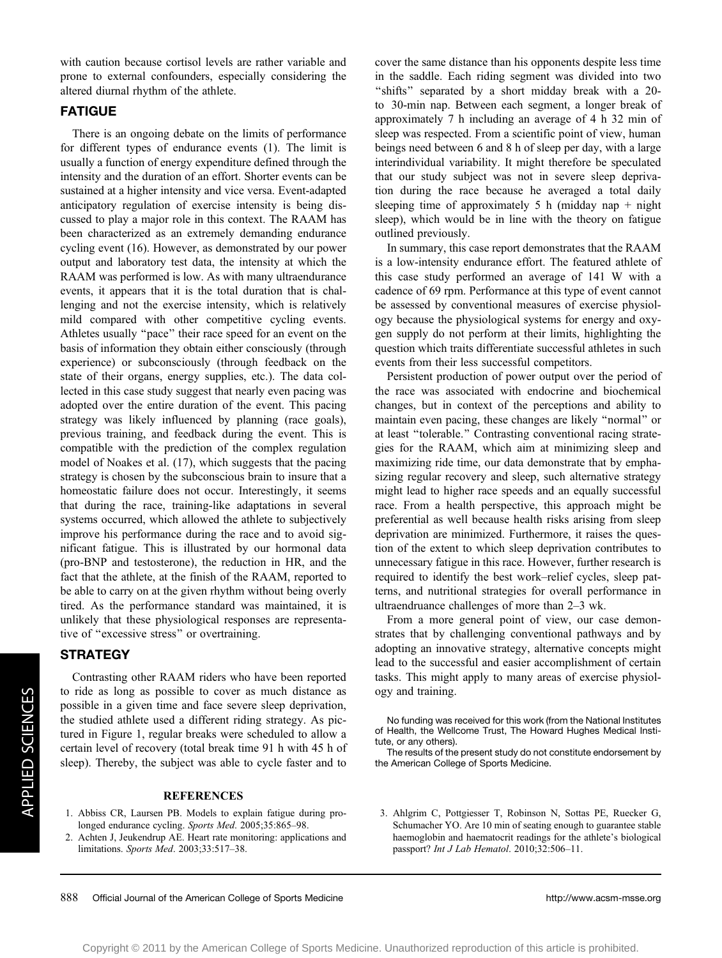with caution because cortisol levels are rather variable and prone to external confounders, especially considering the altered diurnal rhythm of the athlete.

# FATIGUE

There is an ongoing debate on the limits of performance for different types of endurance events (1). The limit is usually a function of energy expenditure defined through the intensity and the duration of an effort. Shorter events can be sustained at a higher intensity and vice versa. Event-adapted anticipatory regulation of exercise intensity is being discussed to play a major role in this context. The RAAM has been characterized as an extremely demanding endurance cycling event (16). However, as demonstrated by our power output and laboratory test data, the intensity at which the RAAM was performed is low. As with many ultraendurance events, it appears that it is the total duration that is challenging and not the exercise intensity, which is relatively mild compared with other competitive cycling events. Athletes usually ''pace'' their race speed for an event on the basis of information they obtain either consciously (through experience) or subconsciously (through feedback on the state of their organs, energy supplies, etc.). The data collected in this case study suggest that nearly even pacing was adopted over the entire duration of the event. This pacing strategy was likely influenced by planning (race goals), previous training, and feedback during the event. This is compatible with the prediction of the complex regulation model of Noakes et al. (17), which suggests that the pacing strategy is chosen by the subconscious brain to insure that a homeostatic failure does not occur. Interestingly, it seems that during the race, training-like adaptations in several systems occurred, which allowed the athlete to subjectively improve his performance during the race and to avoid significant fatigue. This is illustrated by our hormonal data (pro-BNP and testosterone), the reduction in HR, and the fact that the athlete, at the finish of the RAAM, reported to be able to carry on at the given rhythm without being overly tired. As the performance standard was maintained, it is unlikely that these physiological responses are representative of ''excessive stress'' or overtraining.

# **STRATEGY**

Contrasting other RAAM riders who have been reported to ride as long as possible to cover as much distance as possible in a given time and face severe sleep deprivation, the studied athlete used a different riding strategy. As pictured in Figure 1, regular breaks were scheduled to allow a certain level of recovery (total break time 91 h with 45 h of sleep). Thereby, the subject was able to cycle faster and to

#### **REFERENCES**

- 1. Abbiss CR, Laursen PB. Models to explain fatigue during prolonged endurance cycling. Sports Med. 2005;35:865–98.
- 2. Achten J, Jeukendrup AE. Heart rate monitoring: applications and limitations. Sports Med. 2003;33:517-38.

cover the same distance than his opponents despite less time in the saddle. Each riding segment was divided into two ''shifts'' separated by a short midday break with a 20 to 30-min nap. Between each segment, a longer break of approximately 7 h including an average of 4 h 32 min of sleep was respected. From a scientific point of view, human beings need between 6 and 8 h of sleep per day, with a large interindividual variability. It might therefore be speculated that our study subject was not in severe sleep deprivation during the race because he averaged a total daily sleeping time of approximately 5 h (midday nap  $+$  night sleep), which would be in line with the theory on fatigue outlined previously.

In summary, this case report demonstrates that the RAAM is a low-intensity endurance effort. The featured athlete of this case study performed an average of 141 W with a cadence of 69 rpm. Performance at this type of event cannot be assessed by conventional measures of exercise physiology because the physiological systems for energy and oxygen supply do not perform at their limits, highlighting the question which traits differentiate successful athletes in such events from their less successful competitors.

Persistent production of power output over the period of the race was associated with endocrine and biochemical changes, but in context of the perceptions and ability to maintain even pacing, these changes are likely ''normal'' or at least ''tolerable.'' Contrasting conventional racing strategies for the RAAM, which aim at minimizing sleep and maximizing ride time, our data demonstrate that by emphasizing regular recovery and sleep, such alternative strategy might lead to higher race speeds and an equally successful race. From a health perspective, this approach might be preferential as well because health risks arising from sleep deprivation are minimized. Furthermore, it raises the question of the extent to which sleep deprivation contributes to unnecessary fatigue in this race. However, further research is required to identify the best work–relief cycles, sleep patterns, and nutritional strategies for overall performance in ultraendruance challenges of more than 2–3 wk.

From a more general point of view, our case demonstrates that by challenging conventional pathways and by adopting an innovative strategy, alternative concepts might lead to the successful and easier accomplishment of certain tasks. This might apply to many areas of exercise physiology and training.

The results of the present study do not constitute endorsement by the American College of Sports Medicine.

3. Ahlgrim C, Pottgiesser T, Robinson N, Sottas PE, Ruecker G, Schumacher YO. Are 10 min of seating enough to guarantee stable haemoglobin and haematocrit readings for the athlete's biological passport? Int J Lab Hematol. 2010;32:506–11.

No funding was received for this work (from the National Institutes of Health, the Wellcome Trust, The Howard Hughes Medical Institute, or any others).